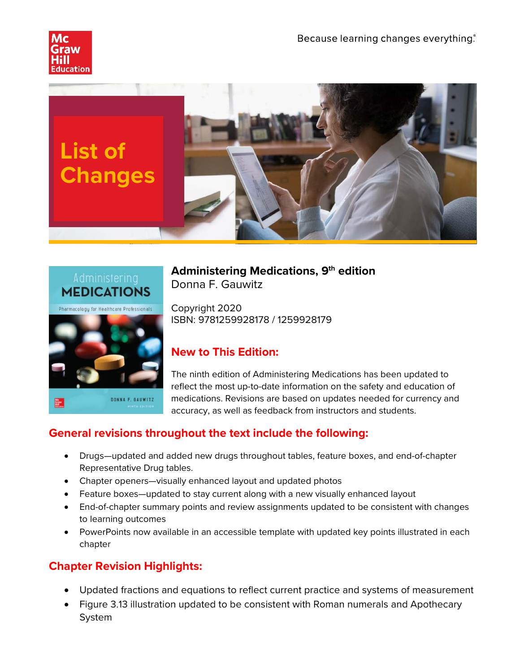





**Administering Medications, 9th edition** Donna F. Gauwitz

Copyright 2020 ISBN: 9781259928178 / 1259928179

## **New to This Edition:**

The ninth edition of Administering Medications has been updated to reflect the most up-to-date information on the safety and education of medications. Revisions are based on updates needed for currency and accuracy, as well as feedback from instructors and students.

## **General revisions throughout the text include the following:**

- Drugs—updated and added new drugs throughout tables, feature boxes, and end-of-chapter Representative Drug tables.
- Chapter openers—visually enhanced layout and updated photos
- Feature boxes—updated to stay current along with a new visually enhanced layout
- End-of-chapter summary points and review assignments updated to be consistent with changes to learning outcomes
- PowerPoints now available in an accessible template with updated key points illustrated in each chapter

## **Chapter Revision Highlights:**

- Updated fractions and equations to reflect current practice and systems of measurement
- Figure 3.13 illustration updated to be consistent with Roman numerals and Apothecary System